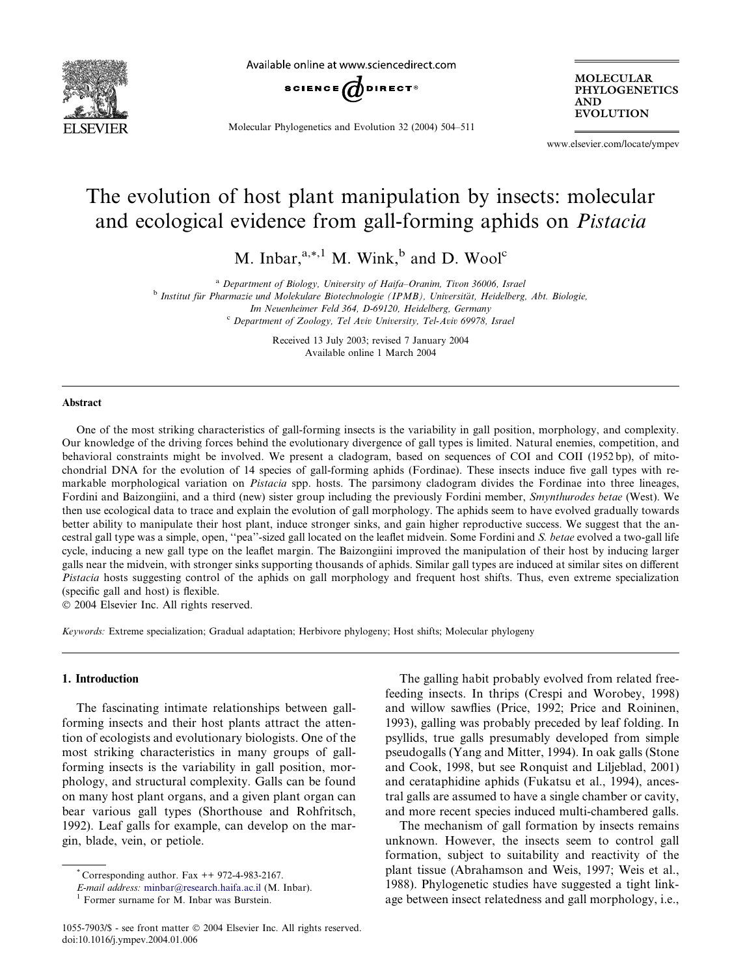

Available online at www.sciencedirect.com



MOLECULAR PHYLOGENETICS AND **EVOLUTION** 

Molecular Phylogenetics and Evolution 32 (2004) 504–511

www.elsevier.com/locate/ympev

# The evolution of host plant manipulation by insects: molecular and ecological evidence from gall-forming aphids on Pistacia

M. Inbar, $a^{*,1}$  M. Wink, $b$  and D. Wool<sup>c</sup>

<sup>a</sup> Department of Biology, University of Haifa–Oranim, Tivon 36006, Israel

<sup>b</sup> Institut für Pharmazie und Molekulare Biotechnologie (IPMB), Universität, Heidelberg, Abt. Biologie,

Im Neuenheimer Feld 364, D-69120, Heidelberg, Germany

<sup>c</sup> Department of Zoology, Tel Aviv University, Tel-Aviv 69978, Israel

Received 13 July 2003; revised 7 January 2004 Available online 1 March 2004

#### Abstract

One of the most striking characteristics of gall-forming insects is the variability in gall position, morphology, and complexity. Our knowledge of the driving forces behind the evolutionary divergence of gall types is limited. Natural enemies, competition, and behavioral constraints might be involved. We present a cladogram, based on sequences of COI and COII (1952 bp), of mitochondrial DNA for the evolution of 14 species of gall-forming aphids (Fordinae). These insects induce five gall types with remarkable morphological variation on *Pistacia* spp. hosts. The parsimony cladogram divides the Fordinae into three lineages, Fordini and Baizongiini, and a third (new) sister group including the previously Fordini member, Smynthurodes betae (West). We then use ecological data to trace and explain the evolution of gall morphology. The aphids seem to have evolved gradually towards better ability to manipulate their host plant, induce stronger sinks, and gain higher reproductive success. We suggest that the ancestral gall type was a simple, open, "pea"-sized gall located on the leaflet midvein. Some Fordini and S. betae evolved a two-gall life cycle, inducing a new gall type on the leaflet margin. The Baizongiini improved the manipulation of their host by inducing larger galls near the midvein, with stronger sinks supporting thousands of aphids. Similar gall types are induced at similar sites on different Pistacia hosts suggesting control of the aphids on gall morphology and frequent host shifts. Thus, even extreme specialization (specific gall and host) is flexible.

2004 Elsevier Inc. All rights reserved.

Keywords: Extreme specialization; Gradual adaptation; Herbivore phylogeny; Host shifts; Molecular phylogeny

## 1. Introduction

The fascinating intimate relationships between gallforming insects and their host plants attract the attention of ecologists and evolutionary biologists. One of the most striking characteristics in many groups of gallforming insects is the variability in gall position, morphology, and structural complexity. Galls can be found on many host plant organs, and a given plant organ can bear various gall types (Shorthouse and Rohfritsch, 1992). Leaf galls for example, can develop on the margin, blade, vein, or petiole.

 $*$  Corresponding author. Fax  $++$  972-4-983-2167.

The galling habit probably evolved from related freefeeding insects. In thrips (Crespi and Worobey, 1998) and willow sawflies (Price, 1992; Price and Roininen, 1993), galling was probably preceded by leaf folding. In psyllids, true galls presumably developed from simple pseudogalls (Yang and Mitter, 1994). In oak galls (Stone and Cook, 1998, but see Ronquist and Liljeblad, 2001) and cerataphidine aphids (Fukatsu et al., 1994), ancestral galls are assumed to have a single chamber or cavity, and more recent species induced multi-chambered galls.

The mechanism of gall formation by insects remains unknown. However, the insects seem to control gall formation, subject to suitability and reactivity of the plant tissue (Abrahamson and Weis, 1997; Weis et al., 1988). Phylogenetic studies have suggested a tight linkage between insect relatedness and gall morphology, i.e.,

E-mail address: [minbar@research.haifa.ac.il](mail to: minbar@research.haifa.ac.il) (M. Inbar). <sup>1</sup> Former surname for M. Inbar was Burstein.

<sup>1055-7903/\$ -</sup> see front matter 2004 Elsevier Inc. All rights reserved. doi:10.1016/j.ympev.2004.01.006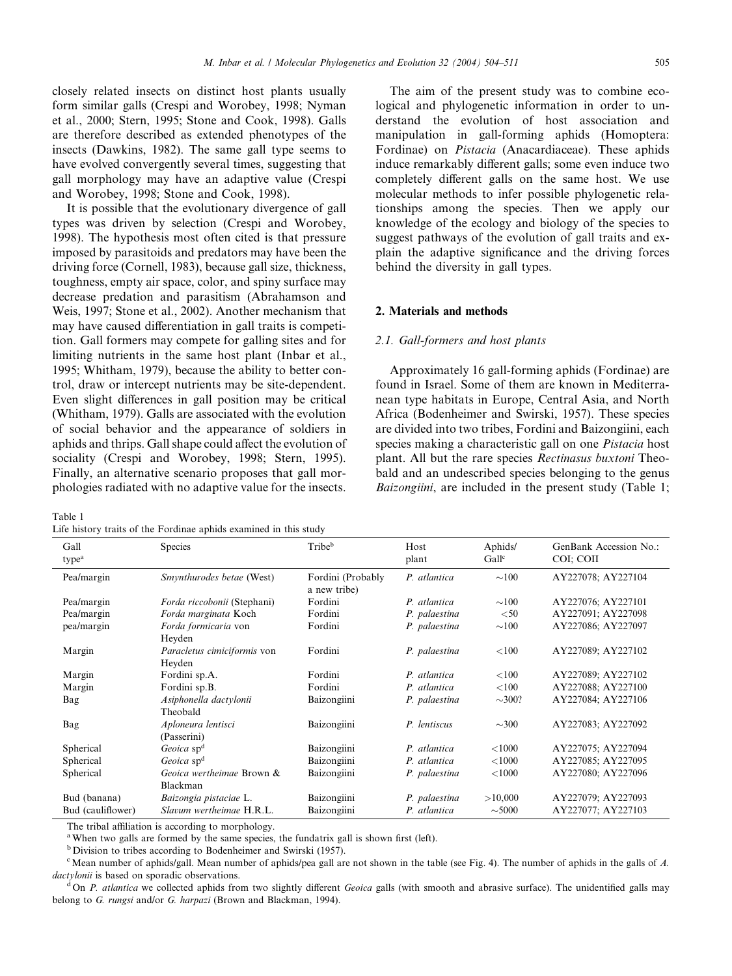closely related insects on distinct host plants usually form similar galls (Crespi and Worobey, 1998; Nyman et al., 2000; Stern, 1995; Stone and Cook, 1998). Galls are therefore described as extended phenotypes of the insects (Dawkins, 1982). The same gall type seems to have evolved convergently several times, suggesting that gall morphology may have an adaptive value (Crespi and Worobey, 1998; Stone and Cook, 1998).

It is possible that the evolutionary divergence of gall types was driven by selection (Crespi and Worobey, 1998). The hypothesis most often cited is that pressure imposed by parasitoids and predators may have been the driving force (Cornell, 1983), because gall size, thickness, toughness, empty air space, color, and spiny surface may decrease predation and parasitism (Abrahamson and Weis, 1997; Stone et al., 2002). Another mechanism that may have caused differentiation in gall traits is competition. Gall formers may compete for galling sites and for limiting nutrients in the same host plant (Inbar et al., 1995; Whitham, 1979), because the ability to better control, draw or intercept nutrients may be site-dependent. Even slight differences in gall position may be critical (Whitham, 1979). Galls are associated with the evolution of social behavior and the appearance of soldiers in aphids and thrips. Gall shape could affect the evolution of sociality (Crespi and Worobey, 1998; Stern, 1995). Finally, an alternative scenario proposes that gall morphologies radiated with no adaptive value for the insects.

Table 1

Life history traits of the Fordinae aphids examined in this study

The aim of the present study was to combine ecological and phylogenetic information in order to understand the evolution of host association and manipulation in gall-forming aphids (Homoptera: Fordinae) on Pistacia (Anacardiaceae). These aphids induce remarkably different galls; some even induce two completely different galls on the same host. We use molecular methods to infer possible phylogenetic relationships among the species. Then we apply our knowledge of the ecology and biology of the species to suggest pathways of the evolution of gall traits and explain the adaptive significance and the driving forces behind the diversity in gall types.

#### 2. Materials and methods

## 2.1. Gall-formers and host plants

Approximately 16 gall-forming aphids (Fordinae) are found in Israel. Some of them are known in Mediterranean type habitats in Europe, Central Asia, and North Africa (Bodenheimer and Swirski, 1957). These species are divided into two tribes, Fordini and Baizongiini, each species making a characteristic gall on one Pistacia host plant. All but the rare species Rectinasus buxtoni Theobald and an undescribed species belonging to the genus Baizongiini, are included in the present study (Table 1;

| Gall<br>type <sup>a</sup> | <b>Species</b>              | Tribeb                            | Host<br>plant | Aphids/<br>Gal <sup>c</sup> | GenBank Accession No.:<br>COI: COII |
|---------------------------|-----------------------------|-----------------------------------|---------------|-----------------------------|-------------------------------------|
| Pea/margin                | Smynthurodes betae (West)   | Fordini (Probably<br>a new tribe) | P. atlantica  | $\sim$ 100                  | AY227078; AY227104                  |
| Pea/margin                | Forda riccobonii (Stephani) | Fordini                           | P. atlantica  | $\sim$ 100                  | AY227076; AY227101                  |
| Pea/margin                | Forda marginata Koch        | Fordini                           | P. palaestina | $<$ 50                      | AY227091; AY227098                  |
| pea/margin                | Forda formicaria von        | Fordini                           | P. palaestina | $\sim$ 100                  | AY227086; AY227097                  |
|                           | Heyden                      |                                   |               |                             |                                     |
| Margin                    | Paracletus cimiciformis von | Fordini                           | P. palaestina | ${<}100$                    | AY227089; AY227102                  |
|                           | Heyden                      |                                   |               |                             |                                     |
| Margin                    | Fordini sp.A.               | Fordini                           | P. atlantica  | < 100                       | AY227089; AY227102                  |
| Margin                    | Fordini sp.B.               | Fordini                           | P. atlantica  | < 100                       | AY227088; AY227100                  |
| Bag                       | Asiphonella dactylonii      | Baizongiini                       | P. palaestina | $\sim$ 300?                 | AY227084; AY227106                  |
|                           | Theobald                    |                                   |               |                             |                                     |
| Bag                       | Aploneura lentisci          | Baizongiini                       | P. lentiscus  | $\sim$ 300                  | AY227083; AY227092                  |
|                           | (Passerini)                 |                                   |               |                             |                                     |
| Spherical                 | Geoica sp <sup>d</sup>      | Baizongiini                       | P. atlantica  | < 1000                      | AY227075; AY227094                  |
| Spherical                 | Geoica sp <sup>d</sup>      | Baizongiini                       | P. atlantica  | ${<}1000$                   | AY227085; AY227095                  |
| Spherical                 | Geoica wertheimae Brown &   | Baizongiini                       | P. palaestina | ${<}1000$                   | AY227080; AY227096                  |
|                           | Blackman                    |                                   |               |                             |                                     |
| Bud (banana)              | Baizongia pistaciae L.      | Baizongiini                       | P. palaestina | >10,000                     | AY227079; AY227093                  |
| Bud (cauliflower)         | Slavum wertheimae H.R.L.    | Baizongiini                       | P. atlantica  | $\sim$ 5000                 | AY227077; AY227103                  |

The tribal affiliation is according to morphology.

<sup>a</sup> When two galls are formed by the same species, the fundatrix gall is shown first (left).

<sup>b</sup> Division to tribes according to Bodenheimer and Swirski (1957).

<sup>d</sup>On *P. atlantica* we collected aphids from two slightly different *Geoica* galls (with smooth and abrasive surface). The unidentified galls may belong to G. rungsi and/or G. harpazi (Brown and Blackman, 1994).

<sup>&</sup>lt;sup>c</sup> Mean number of aphids/gall. Mean number of aphids/pea gall are not shown in the table (see Fig. 4). The number of aphids in the galls of A. dactylonii is based on sporadic observations.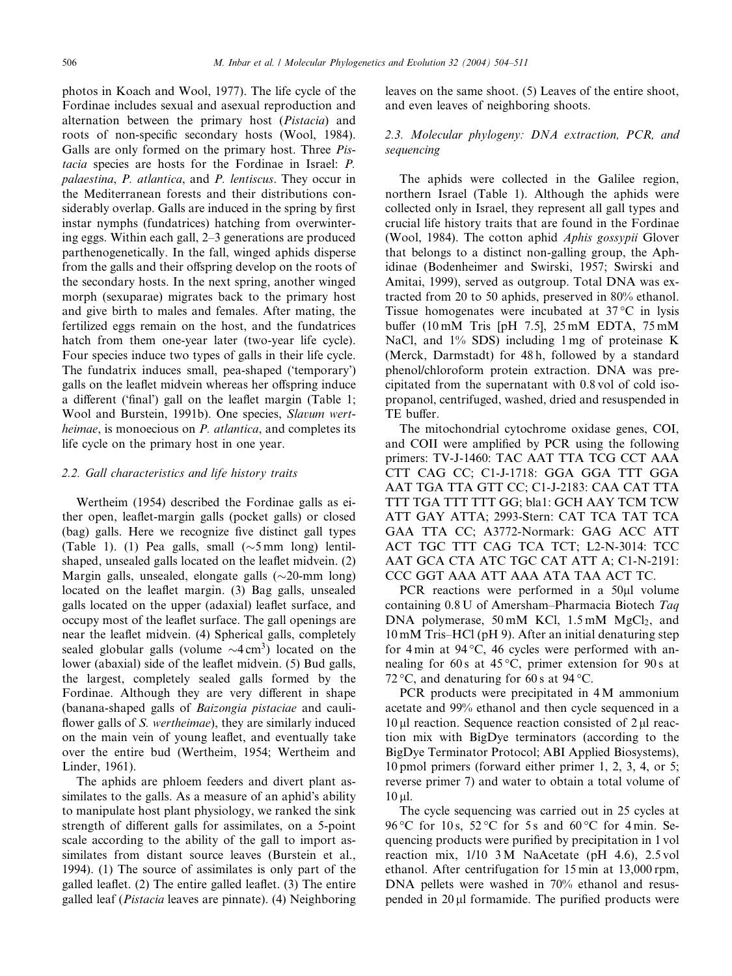photos in Koach and Wool, 1977). The life cycle of the Fordinae includes sexual and asexual reproduction and alternation between the primary host (Pistacia) and roots of non-specific secondary hosts (Wool, 1984). Galls are only formed on the primary host. Three Pistacia species are hosts for the Fordinae in Israel: P. palaestina, P. atlantica, and P. lentiscus. They occur in the Mediterranean forests and their distributions considerably overlap. Galls are induced in the spring by first instar nymphs (fundatrices) hatching from overwintering eggs. Within each gall, 2–3 generations are produced parthenogenetically. In the fall, winged aphids disperse from the galls and their offspring develop on the roots of the secondary hosts. In the next spring, another winged morph (sexuparae) migrates back to the primary host and give birth to males and females. After mating, the fertilized eggs remain on the host, and the fundatrices hatch from them one-year later (two-year life cycle). Four species induce two types of galls in their life cycle. The fundatrix induces small, pea-shaped ('temporary') galls on the leaflet midvein whereas her offspring induce a different ('final') gall on the leaflet margin (Table 1; Wool and Burstein, 1991b). One species, Slavum wertheimae, is monoecious on P. atlantica, and completes its life cycle on the primary host in one year.

# 2.2. Gall characteristics and life history traits

Wertheim (1954) described the Fordinae galls as either open, leaflet-margin galls (pocket galls) or closed (bag) galls. Here we recognize five distinct gall types (Table 1). (1) Pea galls, small  $({\sim}5 \text{ mm } \log)$  lentilshaped, unsealed galls located on the leaflet midvein. (2) Margin galls, unsealed, elongate galls  $(\sim 20$ -mm long) located on the leaflet margin. (3) Bag galls, unsealed galls located on the upper (adaxial) leaflet surface, and occupy most of the leaflet surface. The gall openings are near the leaflet midvein. (4) Spherical galls, completely sealed globular galls (volume  $\sim$ 4 cm<sup>3</sup>) located on the lower (abaxial) side of the leaflet midvein. (5) Bud galls, the largest, completely sealed galls formed by the Fordinae. Although they are very different in shape (banana-shaped galls of Baizongia pistaciae and cauliflower galls of S. wertheimae), they are similarly induced on the main vein of young leaflet, and eventually take over the entire bud (Wertheim, 1954; Wertheim and Linder, 1961).

The aphids are phloem feeders and divert plant assimilates to the galls. As a measure of an aphid's ability to manipulate host plant physiology, we ranked the sink strength of different galls for assimilates, on a 5-point scale according to the ability of the gall to import assimilates from distant source leaves (Burstein et al., 1994). (1) The source of assimilates is only part of the galled leaflet. (2) The entire galled leaflet. (3) The entire galled leaf (Pistacia leaves are pinnate). (4) Neighboring leaves on the same shoot. (5) Leaves of the entire shoot, and even leaves of neighboring shoots.

## 2.3. Molecular phylogeny: DNA extraction, PCR, and sequencing

The aphids were collected in the Galilee region, northern Israel (Table 1). Although the aphids were collected only in Israel, they represent all gall types and crucial life history traits that are found in the Fordinae (Wool, 1984). The cotton aphid Aphis gossypii Glover that belongs to a distinct non-galling group, the Aphidinae (Bodenheimer and Swirski, 1957; Swirski and Amitai, 1999), served as outgroup. Total DNA was extracted from 20 to 50 aphids, preserved in 80% ethanol. Tissue homogenates were incubated at  $37^{\circ}$ C in lysis buffer (10 mM Tris [pH 7.5], 25 mM EDTA, 75 mM NaCl, and 1% SDS) including 1 mg of proteinase K (Merck, Darmstadt) for 48 h, followed by a standard phenol/chloroform protein extraction. DNA was precipitated from the supernatant with 0.8 vol of cold isopropanol, centrifuged, washed, dried and resuspended in TE buffer.

The mitochondrial cytochrome oxidase genes, COI, and COII were amplified by PCR using the following primers: TV-J-1460: TAC AAT TTA TCG CCT AAA CTT CAG CC; C1-J-1718: GGA GGA TTT GGA AAT TGA TTA GTT CC; C1-J-2183: CAA CAT TTA TTT TGA TTT TTT GG; bla1: GCH AAY TCM TCW ATT GAY ATTA; 2993-Stern: CAT TCA TAT TCA GAA TTA CC; A3772-Normark: GAG ACC ATT ACT TGC TTT CAG TCA TCT; L2-N-3014: TCC AAT GCA CTA ATC TGC CAT ATT A; C1-N-2191: CCC GGT AAA ATT AAA ATA TAA ACT TC.

PCR reactions were performed in a 50µl volume containing 0.8 U of Amersham–Pharmacia Biotech Taq DNA polymerase,  $50 \text{ mM}$  KCl,  $1.5 \text{ mM}$  MgCl<sub>2</sub>, and 10 mM Tris–HCl (pH 9). After an initial denaturing step for  $4 \text{ min}$  at  $94 \degree C$ ,  $46$  cycles were performed with annealing for 60s at 45 °C, primer extension for 90s at 72 °C, and denaturing for 60 s at 94 °C.

PCR products were precipitated in 4 M ammonium acetate and 99% ethanol and then cycle sequenced in a  $10 \mu$ l reaction. Sequence reaction consisted of  $2 \mu$ l reaction mix with BigDye terminators (according to the BigDye Terminator Protocol; ABI Applied Biosystems), 10 pmol primers (forward either primer 1, 2, 3, 4, or 5; reverse primer 7) and water to obtain a total volume of  $10 \mu l$ .

The cycle sequencing was carried out in 25 cycles at  $96^{\circ}$ C for  $10 s$ ,  $52^{\circ}$ C for  $5 s$  and  $60^{\circ}$ C for  $4 min$ . Sequencing products were purified by precipitation in 1 vol reaction mix, 1/10 3M NaAcetate (pH 4.6), 2.5 vol ethanol. After centrifugation for 15 min at 13,000 rpm, DNA pellets were washed in 70% ethanol and resuspended in 20 µl formamide. The purified products were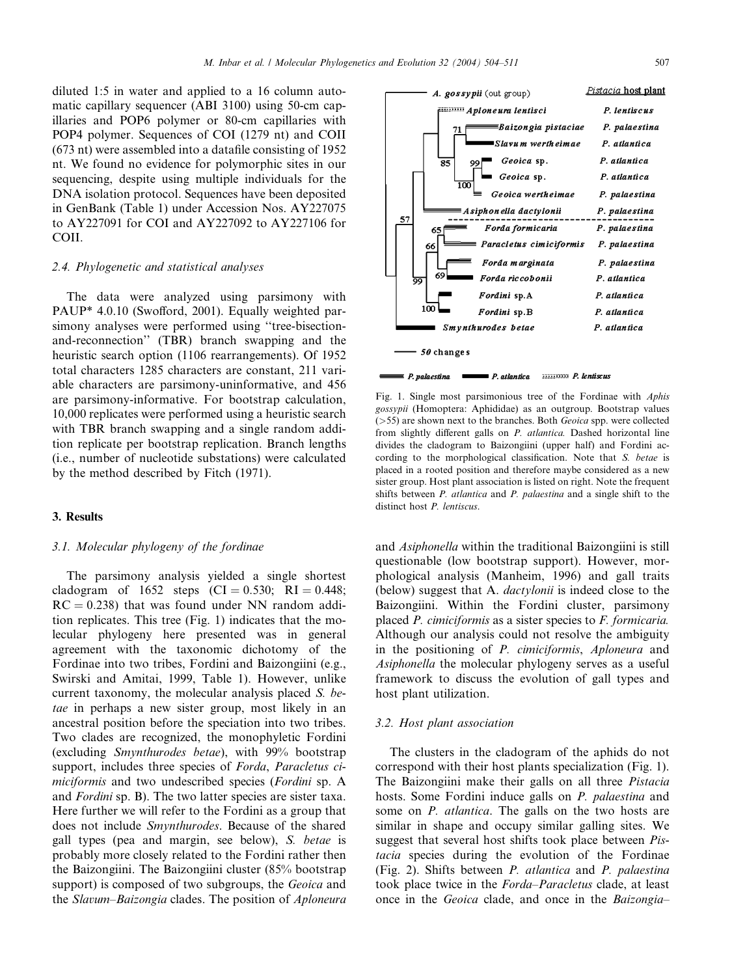diluted 1:5 in water and applied to a 16 column automatic capillary sequencer (ABI 3100) using 50-cm capillaries and POP6 polymer or 80-cm capillaries with POP4 polymer. Sequences of COI (1279 nt) and COII (673 nt) were assembled into a datafile consisting of 1952 nt. We found no evidence for polymorphic sites in our sequencing, despite using multiple individuals for the DNA isolation protocol. Sequences have been deposited in GenBank (Table 1) under Accession Nos. AY227075 to AY227091 for COI and AY227092 to AY227106 for COII.

#### 2.4. Phylogenetic and statistical analyses

The data were analyzed using parsimony with PAUP\* 4.0.10 (Swofford, 2001). Equally weighted parsimony analyses were performed using ''tree-bisectionand-reconnection'' (TBR) branch swapping and the heuristic search option (1106 rearrangements). Of 1952 total characters 1285 characters are constant, 211 variable characters are parsimony-uninformative, and 456 are parsimony-informative. For bootstrap calculation, 10,000 replicates were performed using a heuristic search with TBR branch swapping and a single random addition replicate per bootstrap replication. Branch lengths (i.e., number of nucleotide substations) were calculated by the method described by Fitch (1971).

## 3. Results

## 3.1. Molecular phylogeny of the fordinae

The parsimony analysis yielded a single shortest cladogram of 1652 steps  $(CI = 0.530; RI = 0.448;$  $RC = 0.238$ ) that was found under NN random addition replicates. This tree (Fig. 1) indicates that the molecular phylogeny here presented was in general agreement with the taxonomic dichotomy of the Fordinae into two tribes, Fordini and Baizongiini (e.g., Swirski and Amitai, 1999, Table 1). However, unlike current taxonomy, the molecular analysis placed S. betae in perhaps a new sister group, most likely in an ancestral position before the speciation into two tribes. Two clades are recognized, the monophyletic Fordini (excluding Smynthurodes betae), with 99% bootstrap support, includes three species of Forda, Paracletus cimiciformis and two undescribed species (Fordini sp. A and Fordini sp. B). The two latter species are sister taxa. Here further we will refer to the Fordini as a group that does not include Smynthurodes. Because of the shared gall types (pea and margin, see below), S. betae is probably more closely related to the Fordini rather then the Baizongiini. The Baizongiini cluster (85% bootstrap support) is composed of two subgroups, the *Geoica* and the Slavum–Baizongia clades. The position of Aploneura



Fig. 1. Single most parsimonious tree of the Fordinae with Aphis gossypii (Homoptera: Aphididae) as an outgroup. Bootstrap values (>55) are shown next to the branches. Both Geoica spp. were collected from slightly different galls on P. atlantica. Dashed horizontal line divides the cladogram to Baizongiini (upper half) and Fordini according to the morphological classification. Note that S. betae is placed in a rooted position and therefore maybe considered as a new sister group. Host plant association is listed on right. Note the frequent shifts between P. atlantica and P. palaestina and a single shift to the distinct host P. lentiscus.

and Asiphonella within the traditional Baizongiini is still questionable (low bootstrap support). However, morphological analysis (Manheim, 1996) and gall traits (below) suggest that A. *dactylonii* is indeed close to the Baizongiini. Within the Fordini cluster, parsimony placed P. cimiciformis as a sister species to F. formicaria. Although our analysis could not resolve the ambiguity in the positioning of P. cimiciformis, Aploneura and Asiphonella the molecular phylogeny serves as a useful framework to discuss the evolution of gall types and host plant utilization.

## 3.2. Host plant association

The clusters in the cladogram of the aphids do not correspond with their host plants specialization (Fig. 1). The Baizongiini make their galls on all three Pistacia hosts. Some Fordini induce galls on P. palaestina and some on *P. atlantica*. The galls on the two hosts are similar in shape and occupy similar galling sites. We suggest that several host shifts took place between Pistacia species during the evolution of the Fordinae (Fig. 2). Shifts between P. atlantica and P. palaestina took place twice in the Forda–Paracletus clade, at least once in the Geoica clade, and once in the Baizongia–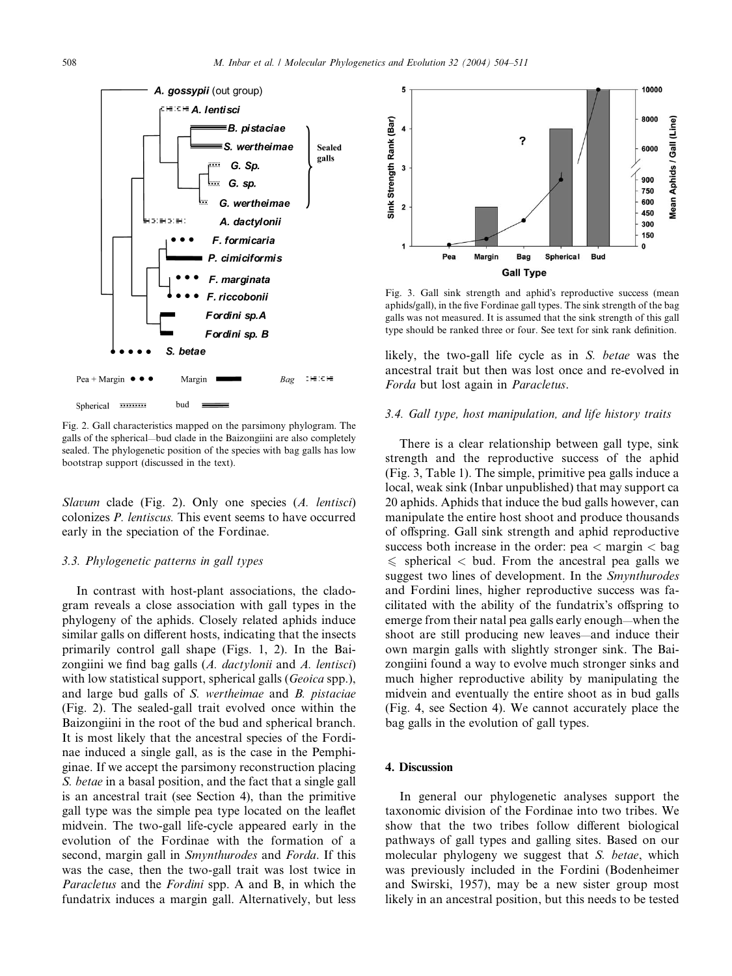

Fig. 2. Gall characteristics mapped on the parsimony phylogram. The galls of the spherical—bud clade in the Baizongiini are also completely sealed. The phylogenetic position of the species with bag galls has low bootstrap support (discussed in the text).

Slavum clade (Fig. 2). Only one species (A. lentisci) colonizes P. lentiscus. This event seems to have occurred early in the speciation of the Fordinae.

## 3.3. Phylogenetic patterns in gall types

In contrast with host-plant associations, the cladogram reveals a close association with gall types in the phylogeny of the aphids. Closely related aphids induce similar galls on different hosts, indicating that the insects primarily control gall shape (Figs. 1, 2). In the Baizongiini we find bag galls (A. dactylonii and A. lentisci) with low statistical support, spherical galls (*Geoica* spp.), and large bud galls of S. wertheimae and B. pistaciae (Fig. 2). The sealed-gall trait evolved once within the Baizongiini in the root of the bud and spherical branch. It is most likely that the ancestral species of the Fordinae induced a single gall, as is the case in the Pemphiginae. If we accept the parsimony reconstruction placing S. betae in a basal position, and the fact that a single gall is an ancestral trait (see Section 4), than the primitive gall type was the simple pea type located on the leaflet midvein. The two-gall life-cycle appeared early in the evolution of the Fordinae with the formation of a second, margin gall in *Smynthurodes* and *Forda*. If this was the case, then the two-gall trait was lost twice in Paracletus and the Fordini spp. A and B, in which the fundatrix induces a margin gall. Alternatively, but less



Fig. 3. Gall sink strength and aphid's reproductive success (mean aphids/gall), in the five Fordinae gall types. The sink strength of the bag galls was not measured. It is assumed that the sink strength of this gall type should be ranked three or four. See text for sink rank definition.

likely, the two-gall life cycle as in S. betae was the ancestral trait but then was lost once and re-evolved in Forda but lost again in Paracletus.

## 3.4. Gall type, host manipulation, and life history traits

There is a clear relationship between gall type, sink strength and the reproductive success of the aphid (Fig. 3, Table 1). The simple, primitive pea galls induce a local, weak sink (Inbar unpublished) that may support ca 20 aphids. Aphids that induce the bud galls however, can manipulate the entire host shoot and produce thousands of offspring. Gall sink strength and aphid reproductive success both increase in the order:  $pea <$  margin  $<$  bag  $\leq$  spherical  $\leq$  bud. From the ancestral pea galls we suggest two lines of development. In the Smynthurodes and Fordini lines, higher reproductive success was facilitated with the ability of the fundatrix's offspring to emerge from their natal pea galls early enough—when the shoot are still producing new leaves—and induce their own margin galls with slightly stronger sink. The Baizongiini found a way to evolve much stronger sinks and much higher reproductive ability by manipulating the midvein and eventually the entire shoot as in bud galls (Fig. 4, see Section 4). We cannot accurately place the bag galls in the evolution of gall types.

## 4. Discussion

In general our phylogenetic analyses support the taxonomic division of the Fordinae into two tribes. We show that the two tribes follow different biological pathways of gall types and galling sites. Based on our molecular phylogeny we suggest that S. betae, which was previously included in the Fordini (Bodenheimer and Swirski, 1957), may be a new sister group most likely in an ancestral position, but this needs to be tested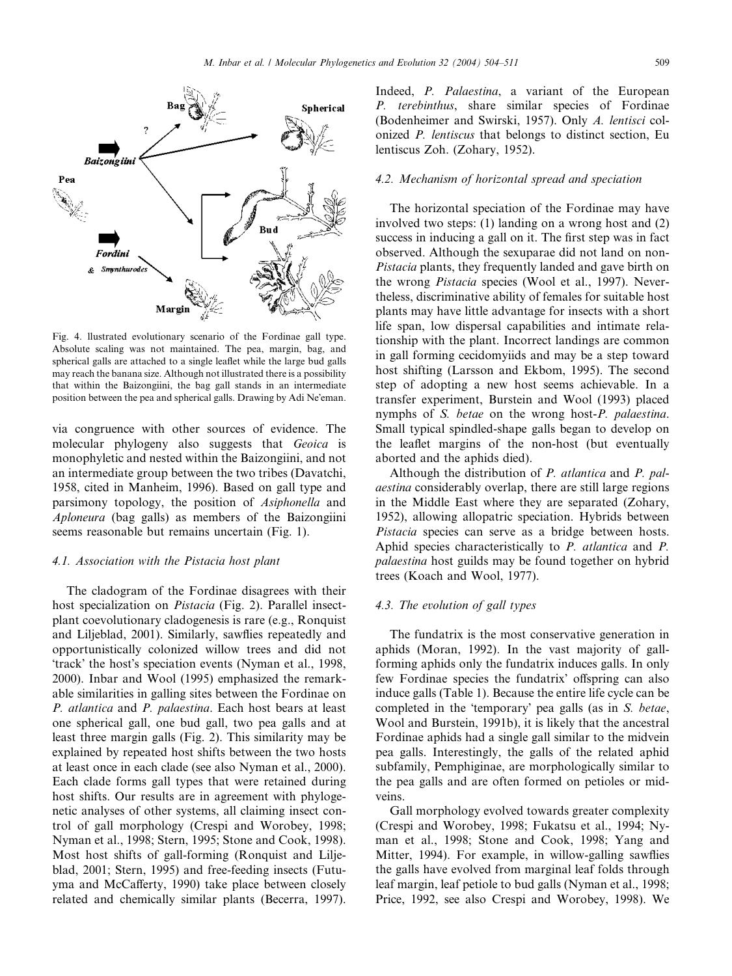

Fig. 4. llustrated evolutionary scenario of the Fordinae gall type. Absolute scaling was not maintained. The pea, margin, bag, and spherical galls are attached to a single leaflet while the large bud galls may reach the banana size. Although not illustrated there is a possibility that within the Baizongiini, the bag gall stands in an intermediate position between the pea and spherical galls. Drawing by Adi Ne'eman.

via congruence with other sources of evidence. The molecular phylogeny also suggests that Geoica is monophyletic and nested within the Baizongiini, and not an intermediate group between the two tribes (Davatchi, 1958, cited in Manheim, 1996). Based on gall type and parsimony topology, the position of Asiphonella and Aploneura (bag galls) as members of the Baizongiini seems reasonable but remains uncertain (Fig. 1).

## 4.1. Association with the Pistacia host plant

The cladogram of the Fordinae disagrees with their host specialization on *Pistacia* (Fig. 2). Parallel insectplant coevolutionary cladogenesis is rare (e.g., Ronquist and Liljeblad, 2001). Similarly, sawflies repeatedly and opportunistically colonized willow trees and did not 'track' the host's speciation events (Nyman et al., 1998, 2000). Inbar and Wool (1995) emphasized the remarkable similarities in galling sites between the Fordinae on P. atlantica and P. palaestina. Each host bears at least one spherical gall, one bud gall, two pea galls and at least three margin galls (Fig. 2). This similarity may be explained by repeated host shifts between the two hosts at least once in each clade (see also Nyman et al., 2000). Each clade forms gall types that were retained during host shifts. Our results are in agreement with phylogenetic analyses of other systems, all claiming insect control of gall morphology (Crespi and Worobey, 1998; Nyman et al., 1998; Stern, 1995; Stone and Cook, 1998). Most host shifts of gall-forming (Ronquist and Lilieblad, 2001; Stern, 1995) and free-feeding insects (Futuyma and McCafferty, 1990) take place between closely related and chemically similar plants (Becerra, 1997).

Indeed, P. Palaestina, a variant of the European P. terebinthus, share similar species of Fordinae (Bodenheimer and Swirski, 1957). Only A. lentisci colonized P. lentiscus that belongs to distinct section, Eu lentiscus Zoh. (Zohary, 1952).

## 4.2. Mechanism of horizontal spread and speciation

The horizontal speciation of the Fordinae may have involved two steps: (1) landing on a wrong host and (2) success in inducing a gall on it. The first step was in fact observed. Although the sexuparae did not land on non-Pistacia plants, they frequently landed and gave birth on the wrong Pistacia species (Wool et al., 1997). Nevertheless, discriminative ability of females for suitable host plants may have little advantage for insects with a short life span, low dispersal capabilities and intimate relationship with the plant. Incorrect landings are common in gall forming cecidomyiids and may be a step toward host shifting (Larsson and Ekbom, 1995). The second step of adopting a new host seems achievable. In a transfer experiment, Burstein and Wool (1993) placed nymphs of S. betae on the wrong host-P. palaestina. Small typical spindled-shape galls began to develop on the leaflet margins of the non-host (but eventually aborted and the aphids died).

Although the distribution of P. atlantica and P. palaestina considerably overlap, there are still large regions in the Middle East where they are separated (Zohary, 1952), allowing allopatric speciation. Hybrids between Pistacia species can serve as a bridge between hosts. Aphid species characteristically to P. atlantica and P. palaestina host guilds may be found together on hybrid trees (Koach and Wool, 1977).

## 4.3. The evolution of gall types

The fundatrix is the most conservative generation in aphids (Moran, 1992). In the vast majority of gallforming aphids only the fundatrix induces galls. In only few Fordinae species the fundatrix' offspring can also induce galls (Table 1). Because the entire life cycle can be completed in the 'temporary' pea galls (as in S. betae, Wool and Burstein, 1991b), it is likely that the ancestral Fordinae aphids had a single gall similar to the midvein pea galls. Interestingly, the galls of the related aphid subfamily, Pemphiginae, are morphologically similar to the pea galls and are often formed on petioles or midveins.

Gall morphology evolved towards greater complexity (Crespi and Worobey, 1998; Fukatsu et al., 1994; Nyman et al., 1998; Stone and Cook, 1998; Yang and Mitter, 1994). For example, in willow-galling sawflies the galls have evolved from marginal leaf folds through leaf margin, leaf petiole to bud galls (Nyman et al., 1998; Price, 1992, see also Crespi and Worobey, 1998). We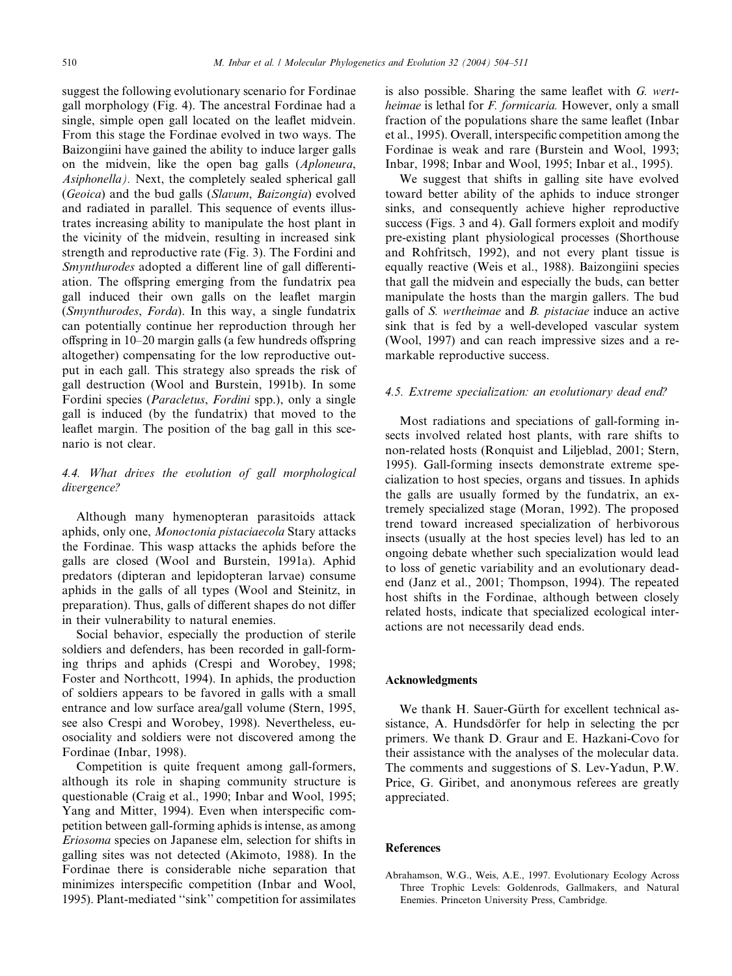suggest the following evolutionary scenario for Fordinae gall morphology (Fig. 4). The ancestral Fordinae had a single, simple open gall located on the leaflet midvein. From this stage the Fordinae evolved in two ways. The Baizongiini have gained the ability to induce larger galls on the midvein, like the open bag galls (Aploneura, Asiphonella). Next, the completely sealed spherical gall (Geoica) and the bud galls (Slavum, Baizongia) evolved and radiated in parallel. This sequence of events illustrates increasing ability to manipulate the host plant in the vicinity of the midvein, resulting in increased sink strength and reproductive rate (Fig. 3). The Fordini and Smynthurodes adopted a different line of gall differentiation. The offspring emerging from the fundatrix pea gall induced their own galls on the leaflet margin (Smynthurodes, Forda). In this way, a single fundatrix can potentially continue her reproduction through her offspring in 10–20 margin galls (a few hundreds offspring altogether) compensating for the low reproductive output in each gall. This strategy also spreads the risk of gall destruction (Wool and Burstein, 1991b). In some Fordini species (Paracletus, Fordini spp.), only a single gall is induced (by the fundatrix) that moved to the leaflet margin. The position of the bag gall in this scenario is not clear.

# 4.4. What drives the evolution of gall morphological divergence?

Although many hymenopteran parasitoids attack aphids, only one, Monoctonia pistaciaecola Stary attacks the Fordinae. This wasp attacks the aphids before the galls are closed (Wool and Burstein, 1991a). Aphid predators (dipteran and lepidopteran larvae) consume aphids in the galls of all types (Wool and Steinitz, in preparation). Thus, galls of different shapes do not differ in their vulnerability to natural enemies.

Social behavior, especially the production of sterile soldiers and defenders, has been recorded in gall-forming thrips and aphids (Crespi and Worobey, 1998; Foster and Northcott, 1994). In aphids, the production of soldiers appears to be favored in galls with a small entrance and low surface area/gall volume (Stern, 1995, see also Crespi and Worobey, 1998). Nevertheless, euosociality and soldiers were not discovered among the Fordinae (Inbar, 1998).

Competition is quite frequent among gall-formers, although its role in shaping community structure is questionable (Craig et al., 1990; Inbar and Wool, 1995; Yang and Mitter, 1994). Even when interspecific competition between gall-forming aphids is intense, as among Eriosoma species on Japanese elm, selection for shifts in galling sites was not detected (Akimoto, 1988). In the Fordinae there is considerable niche separation that minimizes interspecific competition (Inbar and Wool, 1995). Plant-mediated ''sink'' competition for assimilates is also possible. Sharing the same leaflet with G. wertheimae is lethal for *F. formicaria*. However, only a small fraction of the populations share the same leaflet (Inbar et al., 1995). Overall, interspecific competition among the Fordinae is weak and rare (Burstein and Wool, 1993; Inbar, 1998; Inbar and Wool, 1995; Inbar et al., 1995).

We suggest that shifts in galling site have evolved toward better ability of the aphids to induce stronger sinks, and consequently achieve higher reproductive success (Figs. 3 and 4). Gall formers exploit and modify pre-existing plant physiological processes (Shorthouse and Rohfritsch, 1992), and not every plant tissue is equally reactive (Weis et al., 1988). Baizongiini species that gall the midvein and especially the buds, can better manipulate the hosts than the margin gallers. The bud galls of S. wertheimae and B. pistaciae induce an active sink that is fed by a well-developed vascular system (Wool, 1997) and can reach impressive sizes and a remarkable reproductive success.

#### 4.5. Extreme specialization: an evolutionary dead end?

Most radiations and speciations of gall-forming insects involved related host plants, with rare shifts to non-related hosts (Ronquist and Liljeblad, 2001; Stern, 1995). Gall-forming insects demonstrate extreme specialization to host species, organs and tissues. In aphids the galls are usually formed by the fundatrix, an extremely specialized stage (Moran, 1992). The proposed trend toward increased specialization of herbivorous insects (usually at the host species level) has led to an ongoing debate whether such specialization would lead to loss of genetic variability and an evolutionary deadend (Janz et al., 2001; Thompson, 1994). The repeated host shifts in the Fordinae, although between closely related hosts, indicate that specialized ecological interactions are not necessarily dead ends.

## Acknowledgments

We thank H. Sauer-Gürth for excellent technical assistance, A. Hundsdörfer for help in selecting the pcr primers. We thank D. Graur and E. Hazkani-Covo for their assistance with the analyses of the molecular data. The comments and suggestions of S. Lev-Yadun, P.W. Price, G. Giribet, and anonymous referees are greatly appreciated.

#### References

Abrahamson, W.G., Weis, A.E., 1997. Evolutionary Ecology Across Three Trophic Levels: Goldenrods, Gallmakers, and Natural Enemies. Princeton University Press, Cambridge.